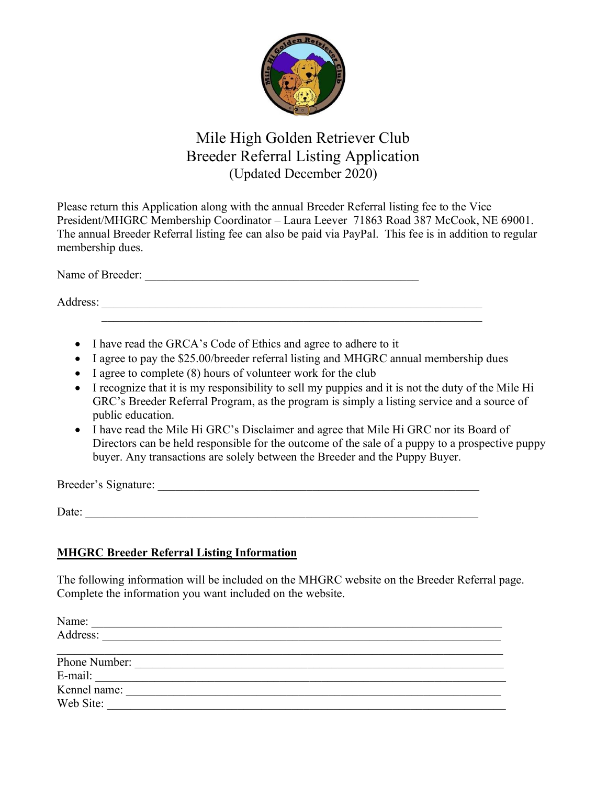

# Mile High Golden Retriever Club Breeder Referral Listing Application (Updated December 2020)

Please return this Application along with the annual Breeder Referral listing fee to the Vice President/MHGRC Membership Coordinator – Laura Leever 71863 Road 387 McCook, NE 69001. The annual Breeder Referral listing fee can also be paid via PayPal. This fee is in addition to regular membership dues.

Name of Breeder: \_\_\_\_\_\_\_\_\_\_\_\_\_\_\_\_\_\_\_\_\_\_\_\_\_\_\_\_\_\_\_\_\_\_\_\_\_\_\_\_\_\_\_\_\_\_

Address:

- I have read the GRCA's Code of Ethics and agree to adhere to it
- I agree to pay the \$25.00/breeder referral listing and MHGRC annual membership dues
- I agree to complete (8) hours of volunteer work for the club
- I recognize that it is my responsibility to sell my puppies and it is not the duty of the Mile Hi GRC's Breeder Referral Program, as the program is simply a listing service and a source of public education.
- I have read the Mile Hi GRC's Disclaimer and agree that Mile Hi GRC nor its Board of Directors can be held responsible for the outcome of the sale of a puppy to a prospective puppy buyer. Any transactions are solely between the Breeder and the Puppy Buyer.

Breeder's Signature: \_\_\_\_\_\_\_\_\_\_\_\_\_\_\_\_\_\_\_\_\_\_\_\_\_\_\_\_\_\_\_\_\_\_\_\_\_\_\_\_\_\_\_\_\_\_\_\_\_\_\_\_\_\_

Date:

#### **MHGRC Breeder Referral Listing Information**

The following information will be included on the MHGRC website on the Breeder Referral page. Complete the information you want included on the website.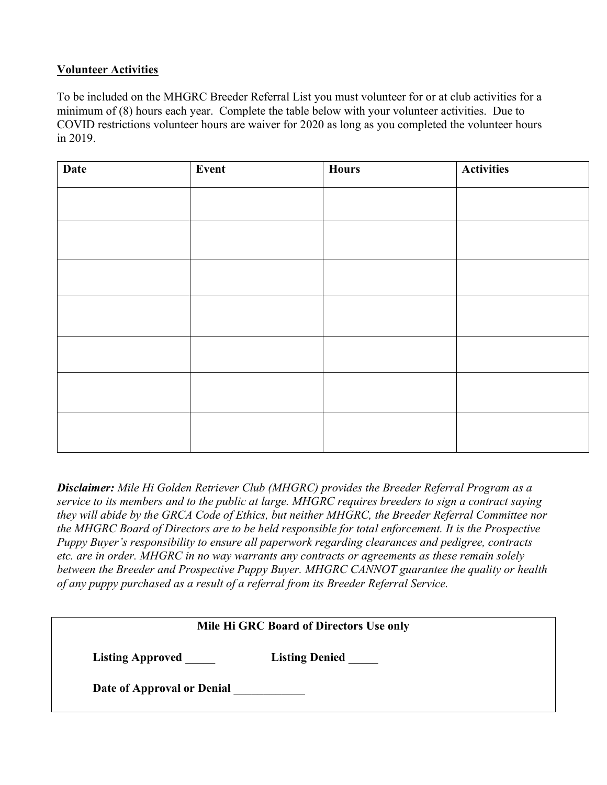#### **Volunteer Activities**

To be included on the MHGRC Breeder Referral List you must volunteer for or at club activities for a minimum of (8) hours each year. Complete the table below with your volunteer activities. Due to COVID restrictions volunteer hours are waiver for 2020 as long as you completed the volunteer hours in 2019.

| <b>Date</b> | Event | <b>Hours</b> | <b>Activities</b> |
|-------------|-------|--------------|-------------------|
|             |       |              |                   |
|             |       |              |                   |
|             |       |              |                   |
|             |       |              |                   |
|             |       |              |                   |
|             |       |              |                   |
|             |       |              |                   |

*Disclaimer: Mile Hi Golden Retriever Club (MHGRC) provides the Breeder Referral Program as a service to its members and to the public at large. MHGRC requires breeders to sign a contract saying they will abide by the GRCA Code of Ethics, but neither MHGRC, the Breeder Referral Committee nor the MHGRC Board of Directors are to be held responsible for total enforcement. It is the Prospective Puppy Buyer's responsibility to ensure all paperwork regarding clearances and pedigree, contracts etc. are in order. MHGRC in no way warrants any contracts or agreements as these remain solely between the Breeder and Prospective Puppy Buyer. MHGRC CANNOT guarantee the quality or health of any puppy purchased as a result of a referral from its Breeder Referral Service.*

| Mile Hi GRC Board of Directors Use only          |  |  |  |
|--------------------------------------------------|--|--|--|
| <b>Listing Approved</b><br><b>Listing Denied</b> |  |  |  |
| Date of Approval or Denial                       |  |  |  |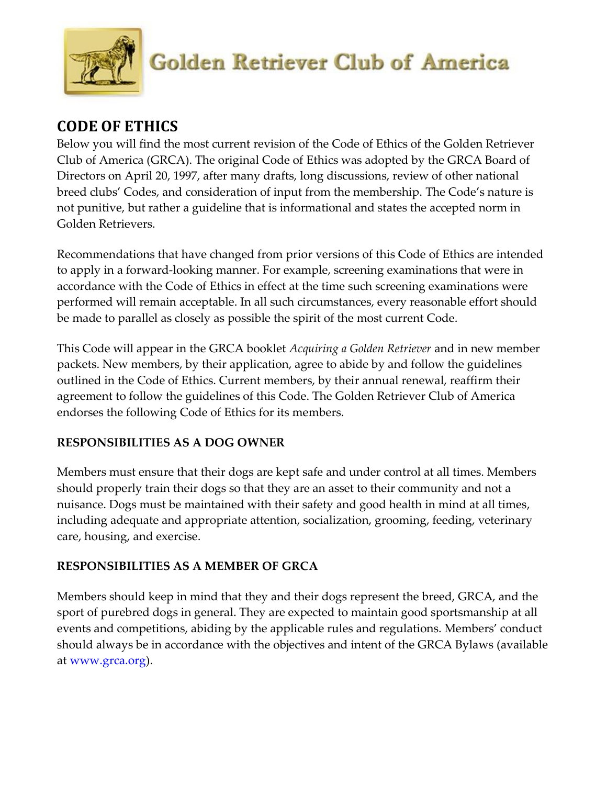

# **CODE OF ETHICS**

Below you will find the most current revision of the Code of Ethics of the Golden Retriever Club of America (GRCA). The original Code of Ethics was adopted by the GRCA Board of Directors on April 20, 1997, after many drafts, long discussions, review of other national breed clubs' Codes, and consideration of input from the membership. The Code's nature is not punitive, but rather a guideline that is informational and states the accepted norm in Golden Retrievers.

Recommendations that have changed from prior versions of this Code of Ethics are intended to apply in a forward‐looking manner. For example, screening examinations that were in accordance with the Code of Ethics in effect at the time such screening examinations were performed will remain acceptable. In all such circumstances, every reasonable effort should be made to parallel as closely as possible the spirit of the most current Code.

This Code will appear in the GRCA booklet *Acquiring a Golden Retriever* and in new member packets. New members, by their application, agree to abide by and follow the guidelines outlined in the Code of Ethics. Current members, by their annual renewal, reaffirm their agreement to follow the guidelines of this Code. The Golden Retriever Club of America endorses the following Code of Ethics for its members.

## **RESPONSIBILITIES AS A DOG OWNER**

Members must ensure that their dogs are kept safe and under control at all times. Members should properly train their dogs so that they are an asset to their community and not a nuisance. Dogs must be maintained with their safety and good health in mind at all times, including adequate and appropriate attention, socialization, grooming, feeding, veterinary care, housing, and exercise.

## **RESPONSIBILITIES AS A MEMBER OF GRCA**

Members should keep in mind that they and their dogs represent the breed, GRCA, and the sport of purebred dogs in general. They are expected to maintain good sportsmanship at all events and competitions, abiding by the applicable rules and regulations. Members' conduct should always be in accordance with the objectives and intent of the GRCA Bylaws (available at www.grca.org).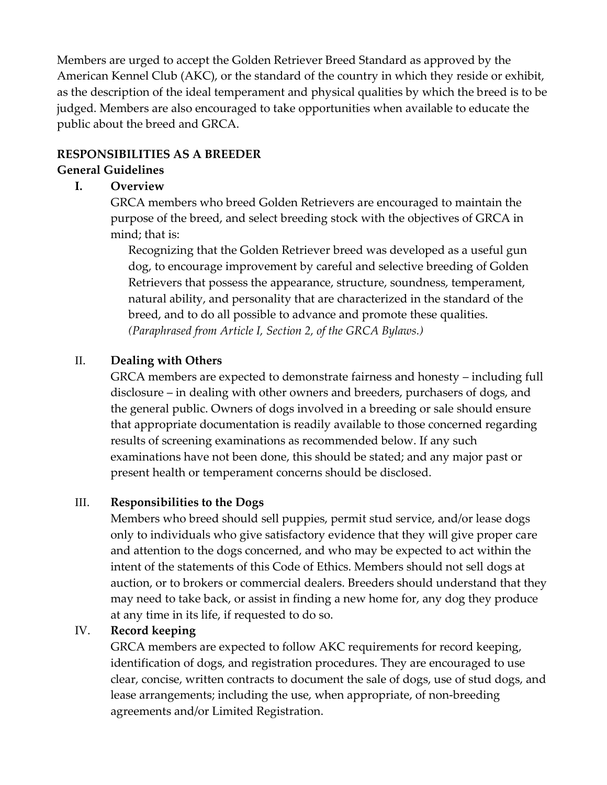Members are urged to accept the Golden Retriever Breed Standard as approved by the American Kennel Club (AKC), or the standard of the country in which they reside or exhibit, as the description of the ideal temperament and physical qualities by which the breed is to be judged. Members are also encouraged to take opportunities when available to educate the public about the breed and GRCA.

### **RESPONSIBILITIES AS A BREEDER**

#### **General Guidelines**

### **I. Overview**

GRCA members who breed Golden Retrievers are encouraged to maintain the purpose of the breed, and select breeding stock with the objectives of GRCA in mind; that is:

Recognizing that the Golden Retriever breed was developed as a useful gun dog, to encourage improvement by careful and selective breeding of Golden Retrievers that possess the appearance, structure, soundness, temperament, natural ability, and personality that are characterized in the standard of the breed, and to do all possible to advance and promote these qualities. *(Paraphrased from Article I, Section 2, of the GRCA Bylaws.)* 

## II. **Dealing with Others**

GRCA members are expected to demonstrate fairness and honesty – including full disclosure – in dealing with other owners and breeders, purchasers of dogs, and the general public. Owners of dogs involved in a breeding or sale should ensure that appropriate documentation is readily available to those concerned regarding results of screening examinations as recommended below. If any such examinations have not been done, this should be stated; and any major past or present health or temperament concerns should be disclosed.

#### III. **Responsibilities to the Dogs**

Members who breed should sell puppies, permit stud service, and/or lease dogs only to individuals who give satisfactory evidence that they will give proper care and attention to the dogs concerned, and who may be expected to act within the intent of the statements of this Code of Ethics. Members should not sell dogs at auction, or to brokers or commercial dealers. Breeders should understand that they may need to take back, or assist in finding a new home for, any dog they produce at any time in its life, if requested to do so.

#### IV. **Record keeping**

GRCA members are expected to follow AKC requirements for record keeping, identification of dogs, and registration procedures. They are encouraged to use clear, concise, written contracts to document the sale of dogs, use of stud dogs, and lease arrangements; including the use, when appropriate, of non-breeding agreements and/or Limited Registration.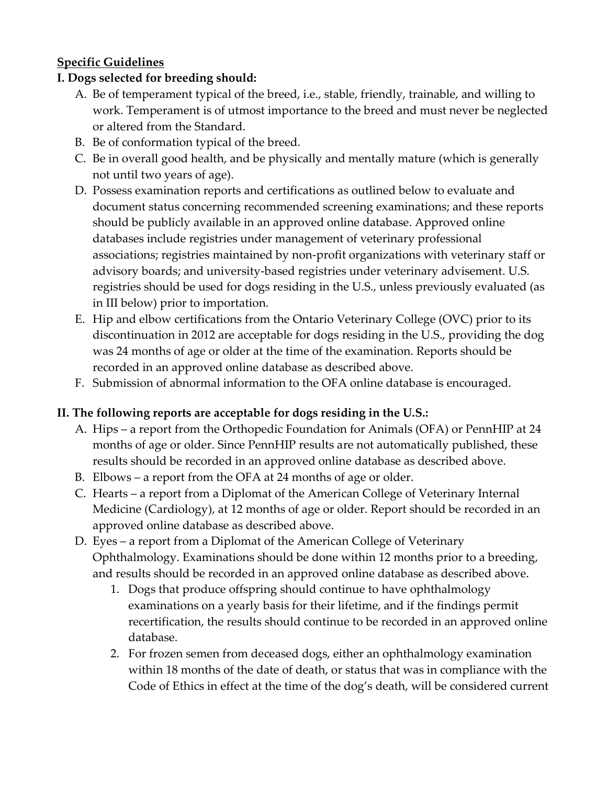## **Specific Guidelines**

## **I. Dogs selected for breeding should:**

- A. Be of temperament typical of the breed, i.e., stable, friendly, trainable, and willing to work. Temperament is of utmost importance to the breed and must never be neglected or altered from the Standard.
- B. Be of conformation typical of the breed.
- C. Be in overall good health, and be physically and mentally mature (which is generally not until two years of age).
- D. Possess examination reports and certifications as outlined below to evaluate and document status concerning recommended screening examinations; and these reports should be publicly available in an approved online database. Approved online databases include registries under management of veterinary professional associations; registries maintained by non‐profit organizations with veterinary staff or advisory boards; and university‐based registries under veterinary advisement. U.S. registries should be used for dogs residing in the U.S., unless previously evaluated (as in III below) prior to importation.
- E. Hip and elbow certifications from the Ontario Veterinary College (OVC) prior to its discontinuation in 2012 are acceptable for dogs residing in the U.S., providing the dog was 24 months of age or older at the time of the examination. Reports should be recorded in an approved online database as described above.
- F. Submission of abnormal information to the OFA online database is encouraged.

## **II. The following reports are acceptable for dogs residing in the U.S.:**

- A. Hips a report from the Orthopedic Foundation for Animals (OFA) or PennHIP at 24 months of age or older. Since PennHIP results are not automatically published, these results should be recorded in an approved online database as described above.
- B. Elbows a report from the OFA at 24 months of age or older.
- C. Hearts a report from a Diplomat of the American College of Veterinary Internal Medicine (Cardiology), at 12 months of age or older. Report should be recorded in an approved online database as described above.
- D. Eyes a report from a Diplomat of the American College of Veterinary Ophthalmology. Examinations should be done within 12 months prior to a breeding, and results should be recorded in an approved online database as described above.
	- 1. Dogs that produce offspring should continue to have ophthalmology examinations on a yearly basis for their lifetime, and if the findings permit recertification, the results should continue to be recorded in an approved online database.
	- 2. For frozen semen from deceased dogs, either an ophthalmology examination within 18 months of the date of death, or status that was in compliance with the Code of Ethics in effect at the time of the dog's death, will be considered current